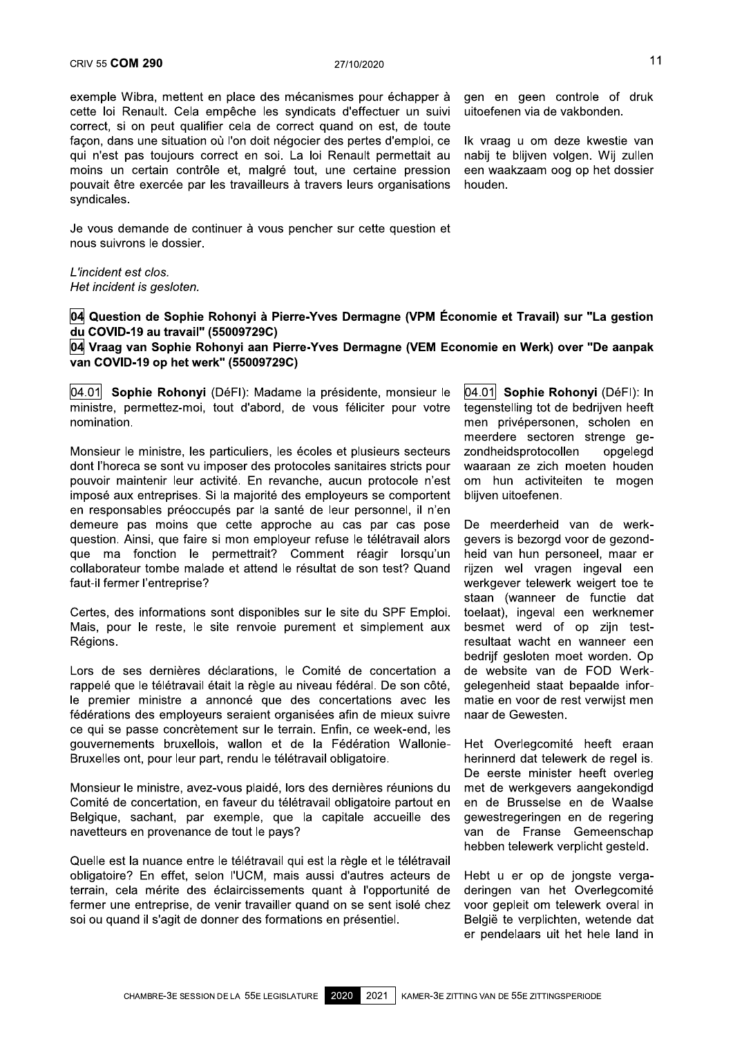04 Question de Sophie Rohonyi à Pierre-Yves Dermagne (VPM Économie et Travail) sur "La gestion du COVID-19 au travail" (55009729C)

04 Vraag van Sophie Rohonyi aan Pierre-Yves Dermagne (VEM Economie en Werk) over "De aanpak van COVID-19 op het werk" (55009729C)

04.01 Sophie Rohonyi (DéFI): Madame la présidente, monsieur le ministre, permettez-moi, tout d'abord, de vous féliciter pour votre nomination.

Monsieur le ministre, les particuliers, les écoles et plusieurs secteurs dont l'horeca se sont vu imposer des protocoles sanitaires stricts pour pouvoir maintenir leur activité. En revanche, aucun protocole n'est imposé aux entreprises. Si la maiorité des employeurs se comportent en responsables préoccupés par la santé de leur personnel, il n'en demeure pas moins que cette approche au cas par cas pose question. Ainsi, que faire si mon employeur refuse le télétravail alors que ma fonction le permettrait? Comment réagir lorsqu'un collaborateur tombe malade et attend le résultat de son test? Quand faut-il fermer l'entreprise?

Certes, des informations sont disponibles sur le site du SPF Emploi. Mais, pour le reste, le site renvoie purement et simplement aux Régions.

Lors de ses dernières déclarations, le Comité de concertation a rappelé que le télétravail était la règle au niveau fédéral. De son côté, le premier ministre a annoncé que des concertations avec les fédérations des employeurs seraient organisées afin de mieux suivre ce qui se passe concrètement sur le terrain. Enfin, ce week-end, les gouvernements bruxellois, wallon et de la Fédération Wallonie-Bruxelles ont, pour leur part, rendu le télétravail obligatoire.

Monsieur le ministre, avez-vous plaidé, lors des dernières réunions du Comité de concertation, en faveur du télétravail obligatoire partout en Belgique, sachant, par exemple, que la capitale accueille des navetteurs en provenance de tout le pays?

Quelle est la nuance entre le télétravail qui est la règle et le télétravail obligatoire? En effet, selon l'UCM, mais aussi d'autres acteurs de terrain, cela mérite des éclaircissements quant à l'opportunité de fermer une entreprise, de venir travailler quand on se sent isolé chez soi ou quand il s'agit de donner des formations en présentiel.

04.01 Sophie Rohonyi (DéFI): In tegenstelling tot de bedrijven heeft men privépersonen, scholen en meerdere sectoren strenge gezondheidsprotocollen opgelegd waaraan ze zich moeten houden om hun activiteiten te mogen bliiven uitoefenen.

De meerderheid van de werkgevers is bezorgd voor de gezondheid van hun personeel, maar er rijzen wel vragen ingeval een werkgever telewerk weigert toe te staan (wanneer de functie dat toelaat), ingeval een werknemer besmet werd of op zijn testresultaat wacht en wanneer een bedrijf gesloten moet worden. Op de website van de FOD Werkgelegenheid staat bepaalde informatie en voor de rest verwijst men naar de Gewesten.

Het Overlegcomité heeft eraan herinnerd dat telewerk de regel is. De eerste minister heeft overleg met de werkgevers aangekondigd en de Brusselse en de Waalse gewestregeringen en de regering van de Franse Gemeenschap hebben telewerk verplicht gesteld.

Hebt u er op de jongste vergaderingen van het Overlegcomité voor gepleit om telewerk overal in België te verplichten, wetende dat er pendelaars uit het hele land in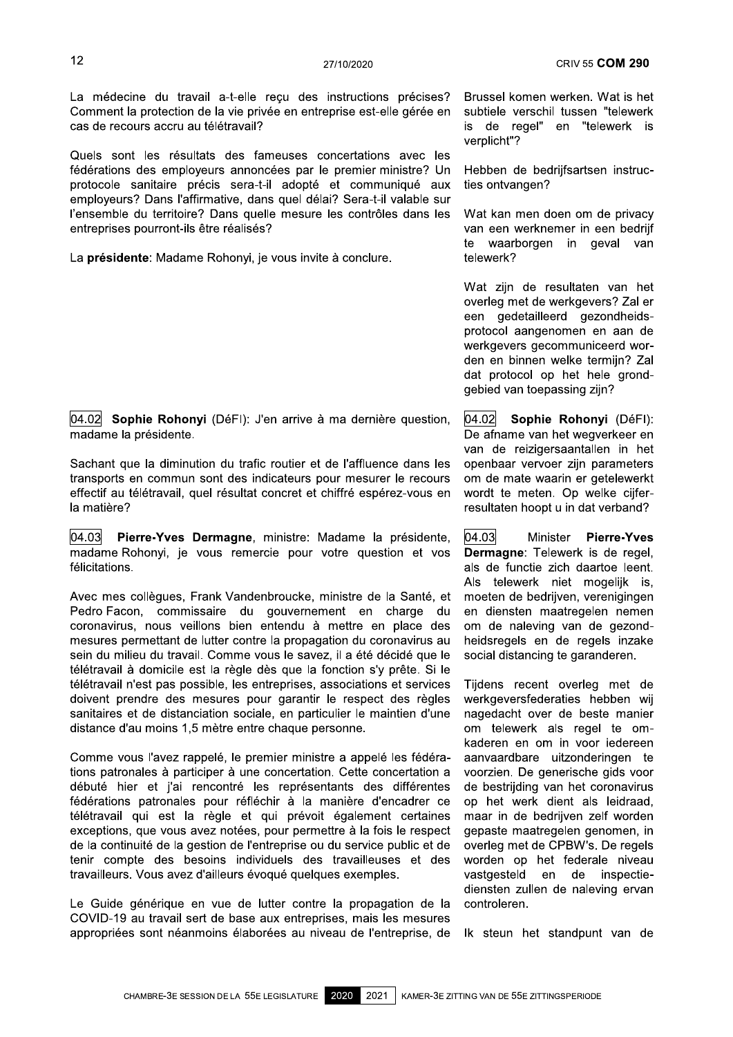La médecine du travail a-t-elle reçu des instructions précises? Comment la protection de la vie privée en entreprise est-elle gérée en cas de recours accru au télétravail?

Quels sont les résultats des fameuses concertations avec les fédérations des employeurs annoncées par le premier ministre? Un protocole sanitaire précis sera-t-il adopté et communiqué aux employeurs? Dans l'affirmative, dans quel délai? Sera-t-il valable sur l'ensemble du territoire? Dans quelle mesure les contrôles dans les entreprises pourront-ils être réalisés?

La présidente: Madame Rohonyi, je vous invite à conclure.

 $|04.02|$  Sophie Rohonyi (DéFI): J'en arrive à ma dernière question, madame la présidente.

Sachant que la diminution du trafic routier et de l'affluence dans les transports en commun sont des indicateurs pour mesurer le recours effectif au télétravail, quel résultat concret et chiffré espérez-vous en la matière?

04.03 Pierre-Yves Dermagne, ministre: Madame la présidente, madame Rohonyi, je vous remercie pour votre question et vos félicitations.

Avec mes collègues, Frank Vandenbroucke, ministre de la Santé, et Pedro Facon, commissaire du gouvernement en charge du coronavirus, nous veillons bien entendu à mettre en place des mesures permettant de lutter contre la propagation du coronavirus au sein du milieu du travail. Comme vous le savez, il a été décidé que le télétravail à domicile est la règle dès que la fonction s'y prête. Si le télétravail n'est pas possible, les entreprises, associations et services doivent prendre des mesures pour garantir le respect des règles sanitaires et de distanciation sociale, en particulier le maintien d'une distance d'au moins 1,5 mètre entre chaque personne.

Comme vous l'avez rappelé, le premier ministre a appelé les fédérations patronales à participer à une concertation. Cette concertation a débuté hier et j'ai rencontré les représentants des différentes fédérations patronales pour réfléchir à la manière d'encadrer ce télétravail qui est la règle et qui prévoit également certaines exceptions, que vous avez notées, pour permettre à la fois le respect de la continuité de la gestion de l'entreprise ou du service public et de tenir compte des besoins individuels des travailleuses et des travailleurs. Vous avez d'ailleurs évoqué quelques exemples.

Le Guide générique en vue de lutter contre la propagation de la COVID-19 au travail sert de base aux entreprises, mais les mesures appropriées sont néanmoins élaborées au niveau de l'entreprise, de

Brussel komen werken. Wat is het subtiele verschil tussen "telewerk is de regel" en "telewerk is verplicht"?

Hebben de bedriifsartsen instructies ontvangen?

Wat kan men doen om de privacy van een werknemer in een bedrijf te waarborgen in geval van telewerk?

Wat zijn de resultaten van het overleg met de werkgevers? Zal er een gedetailleerd gezondheidsprotocol aangenomen en aan de werkgevers gecommuniceerd worden en binnen welke termiin? Zal dat protocol op het hele grondgebied van toepassing zijn?

 $04.02$ Sophie Rohonyi (DéFI): De afname van het wegverkeer en van de reizigersaantallen in het openbaar vervoer zijn parameters om de mate waarin er getelewerkt wordt te meten. Op welke cijferresultaten hoopt u in dat verband?

04.03 Minister Pierre-Yves Dermagne: Telewerk is de regel, als de functie zich daartoe leent. Als telewerk niet mogelijk is, moeten de bedrijven, verenigingen en diensten maatregelen nemen om de naleving van de gezondheidsregels en de regels inzake social distancing te garanderen.

Tiidens recent overleg met de werkgeversfederaties hebben wij nagedacht over de beste manier om telewerk als regel te omkaderen en om in voor iedereen aanvaardbare uitzonderingen te voorzien. De generische gids voor de bestrijding van het coronavirus op het werk dient als leidraad, maar in de bedrijven zelf worden gepaste maatregelen genomen, in overleg met de CPBW's. De regels worden op het federale niveau vastgesteld en de inspectiediensten zullen de naleving ervan controleren.

Ik steun het standpunt van de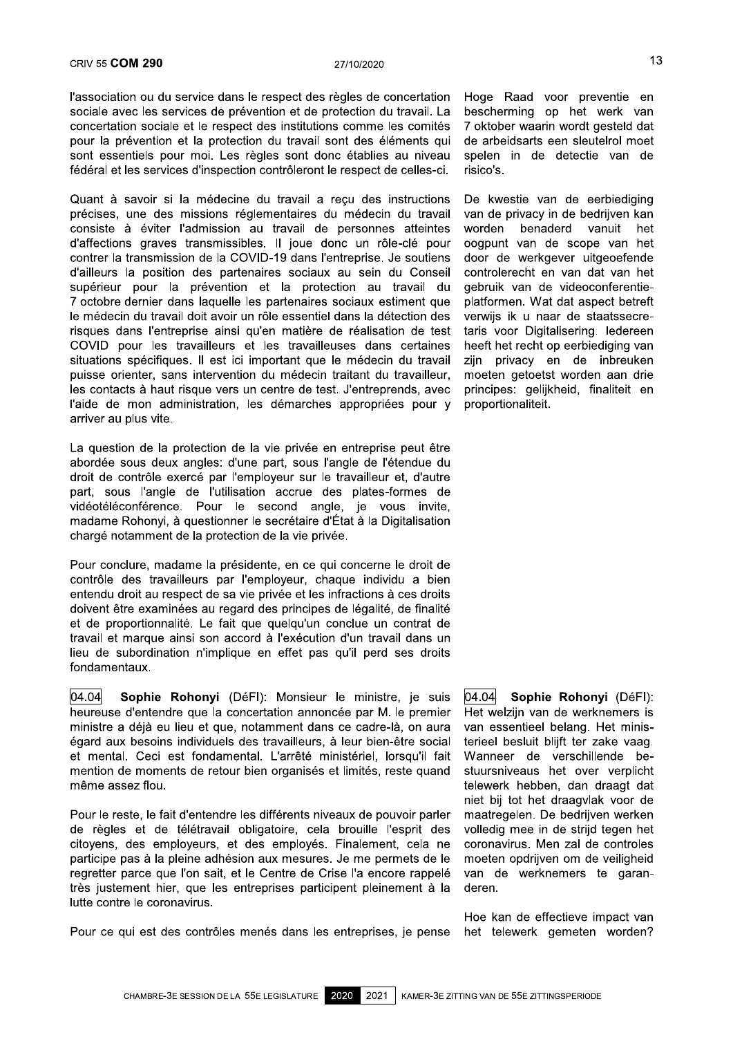l'association ou du service dans le respect des règles de concertation sociale avec les services de prévention et de protection du travail. La concertation sociale et le respect des institutions comme les comités pour la prévention et la protection du travail sont des éléments qui sont essentiels pour moi. Les règles sont donc établies au niveau fédéral et les services d'inspection contrôleront le respect de celles-ci.

Quant à savoir si la médecine du travail a reçu des instructions précises, une des missions réglementaires du médecin du travail consiste à éviter l'admission au travail de personnes atteintes d'affections graves transmissibles. Il joue donc un rôle-clé pour contrer la transmission de la COVID-19 dans l'entreprise. Je soutiens d'ailleurs la position des partenaires sociaux au sein du Conseil supérieur pour la prévention et la protection au travail du 7 octobre dernier dans laquelle les partenaires sociaux estiment que le médecin du travail doit avoir un rôle essentiel dans la détection des risques dans l'entreprise ainsi qu'en matière de réalisation de test COVID pour les travailleurs et les travailleuses dans certaines situations spécifiques. Il est ici important que le médecin du travail puisse orienter, sans intervention du médecin traitant du travailleur, les contacts à haut risque vers un centre de test. J'entreprends, avec l'aide de mon administration, les démarches appropriées pour y arriver au plus vite.

La question de la protection de la vie privée en entreprise peut être abordée sous deux angles: d'une part, sous l'angle de l'étendue du droit de contrôle exercé par l'employeur sur le travailleur et, d'autre part, sous l'angle de l'utilisation accrue des plates-formes de vidéotéléconférence. Pour le second angle, je vous invite, madame Rohonyi, à questionner le secrétaire d'État à la Digitalisation chargé notamment de la protection de la vie privée.

Pour conclure, madame la présidente, en ce qui concerne le droit de contrôle des travailleurs par l'employeur, chaque individu a bien entendu droit au respect de sa vie privée et les infractions à ces droits doivent être examinées au regard des principes de légalité, de finalité et de proportionnalité. Le fait que quelqu'un conclue un contrat de travail et marque ainsi son accord à l'exécution d'un travail dans un lieu de subordination n'implique en effet pas qu'il perd ses droits fondamentaux.

 $|04.04|$ Sophie Rohonyi (DéFI): Monsieur le ministre, je suis heureuse d'entendre que la concertation annoncée par M. le premier ministre a déjà eu lieu et que, notamment dans ce cadre-là, on aura égard aux besoins individuels des travailleurs, à leur bien-être social et mental. Ceci est fondamental. L'arrêté ministériel, lorsqu'il fait mention de moments de retour bien organisés et limités, reste quand même assez flou.

Pour le reste, le fait d'entendre les différents niveaux de pouvoir parler de règles et de télétravail obligatoire, cela brouille l'esprit des citoyens, des employeurs, et des employés. Finalement, cela ne participe pas à la pleine adhésion aux mesures. Je me permets de le regretter parce que l'on sait, et le Centre de Crise l'a encore rappelé très justement hier, que les entreprises participent pleinement à la lutte contre le coronavirus.

Pour ce qui est des contrôles menés dans les entreprises, je pense

Hoge Raad voor preventie en bescherming op het werk van 7 oktober waarin wordt gesteld dat de arbeidsarts een sleutelrol moet spelen in de detectie van de risico's.

De kwestie van de eerbiediging van de privacy in de bedrijven kan benaderd worden vanuit het oogpunt van de scope van het door de werkgever uitgeoefende controlerecht en van dat van het gebruik van de videoconferentieplatformen. Wat dat aspect betreft verwijs ik u naar de staatssecretaris voor Digitalisering. ledereen heeft het recht op eerbiediging van zijn privacy en de inbreuken moeten getoetst worden aan drie principes: gelijkheid, finaliteit en proportionaliteit.

04.04 Sophie Rohonyi (DéFI): Het welzijn van de werknemers is van essentieel belang. Het ministerieel besluit blijft ter zake vaag. Wanneer de verschillende bestuursniveaus het over verplicht telewerk hebben, dan draagt dat niet bij tot het draagvlak voor de maatregelen. De bedrijven werken volledig mee in de strijd tegen het coronavirus. Men zal de controles moeten opdrijven om de veiligheid van de werknemers te garanderen.

Hoe kan de effectieve impact van het telewerk gemeten worden?